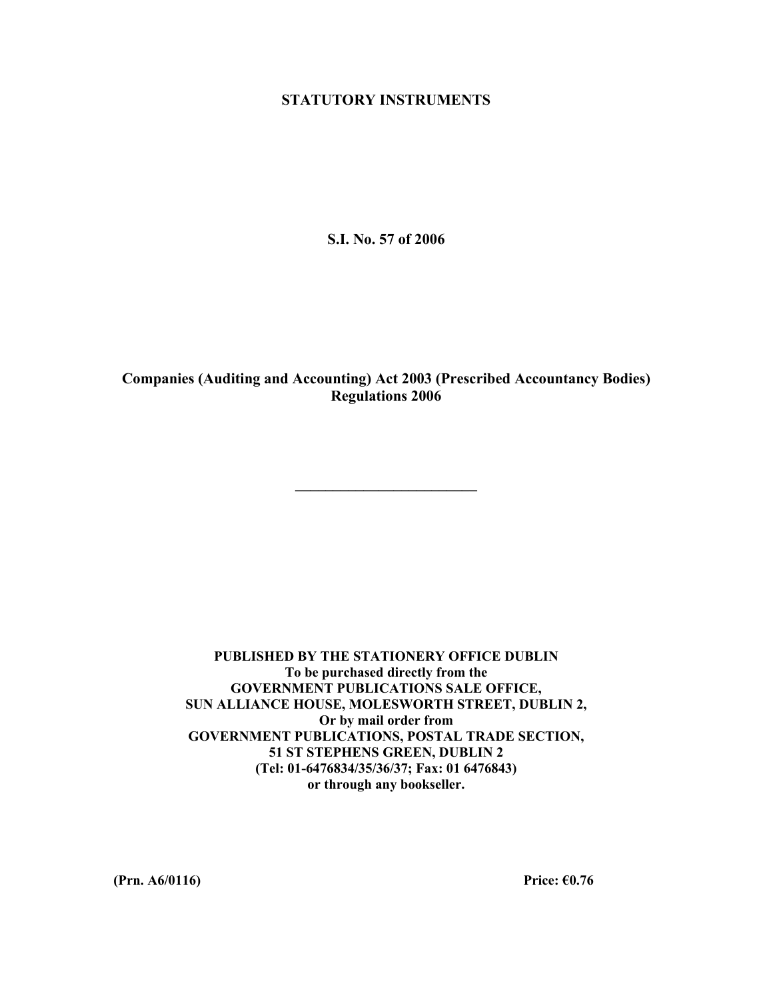## **STATUTORY INSTRUMENTS**

**S.I. No. 57 of 2006** 

**Companies (Auditing and Accounting) Act 2003 (Prescribed Accountancy Bodies) Regulations 2006** 

**\_\_\_\_\_\_\_\_\_\_\_\_\_\_\_\_\_\_\_\_\_\_\_\_** 

**PUBLISHED BY THE STATIONERY OFFICE DUBLIN To be purchased directly from the GOVERNMENT PUBLICATIONS SALE OFFICE, SUN ALLIANCE HOUSE, MOLESWORTH STREET, DUBLIN 2, Or by mail order from GOVERNMENT PUBLICATIONS, POSTAL TRADE SECTION, 51 ST STEPHENS GREEN, DUBLIN 2 (Tel: 01-6476834/35/36/37; Fax: 01 6476843) or through any bookseller.** 

**(Prn. A6/0116) Price: €0.76**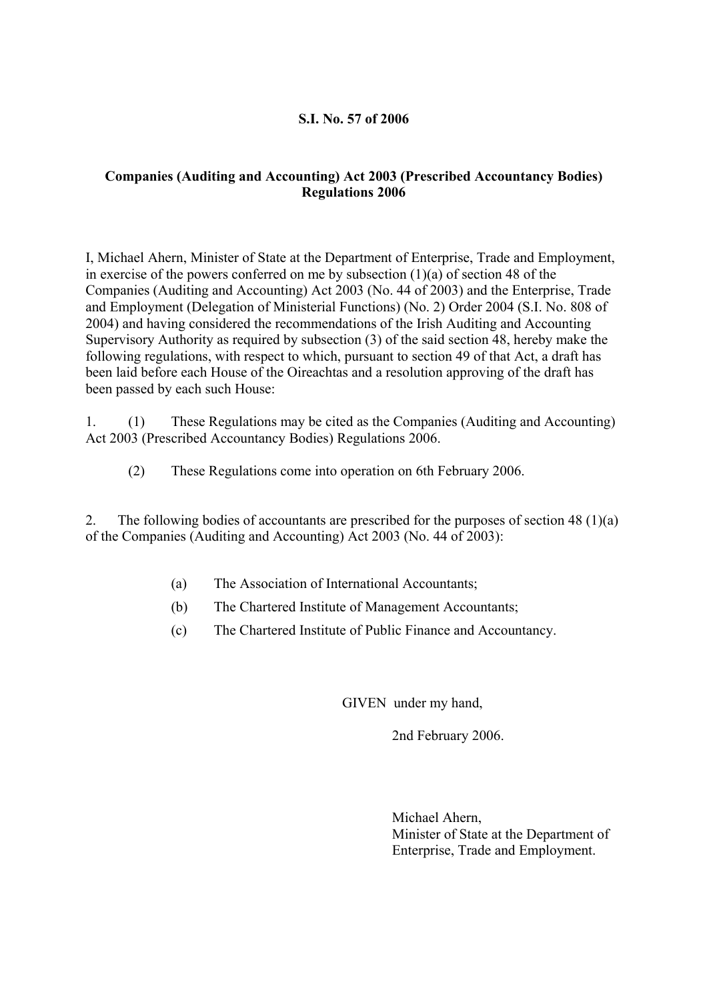## **S.I. No. 57 of 2006**

## **Companies (Auditing and Accounting) Act 2003 (Prescribed Accountancy Bodies) Regulations 2006**

I, Michael Ahern, Minister of State at the Department of Enterprise, Trade and Employment, in exercise of the powers conferred on me by subsection  $(1)(a)$  of section 48 of the Companies (Auditing and Accounting) Act 2003 (No. 44 of 2003) and the Enterprise, Trade and Employment (Delegation of Ministerial Functions) (No. 2) Order 2004 (S.I. No. 808 of 2004) and having considered the recommendations of the Irish Auditing and Accounting Supervisory Authority as required by subsection (3) of the said section 48, hereby make the following regulations, with respect to which, pursuant to section 49 of that Act, a draft has been laid before each House of the Oireachtas and a resolution approving of the draft has been passed by each such House:

1. (1) These Regulations may be cited as the Companies (Auditing and Accounting) Act 2003 (Prescribed Accountancy Bodies) Regulations 2006.

(2) These Regulations come into operation on 6th February 2006.

2. The following bodies of accountants are prescribed for the purposes of section 48 (1)(a) of the Companies (Auditing and Accounting) Act 2003 (No. 44 of 2003):

- (a) The Association of International Accountants;
- (b) The Chartered Institute of Management Accountants;
- (c) The Chartered Institute of Public Finance and Accountancy.

GIVEN under my hand,

2nd February 2006.

 Michael Ahern, Minister of State at the Department of Enterprise, Trade and Employment.